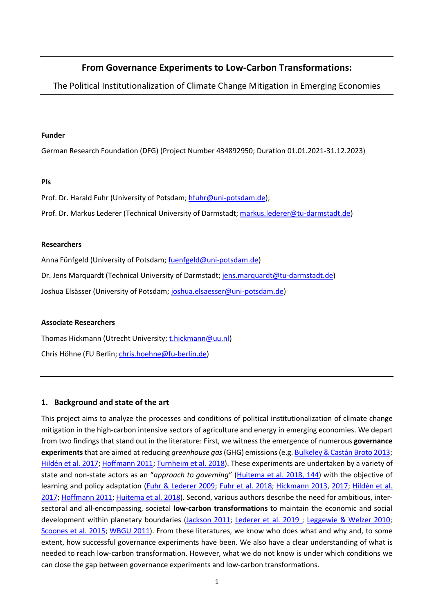# **From Governance Experiments to Low-Carbon Transformations:**

The Political Institutionalization of Climate Change Mitigation in Emerging Economies

#### **Funder**

German Research Foundation (DFG) (Project Number 434892950; Duration 01.01.2021-31.12.2023)

## **PIs**

Prof. Dr. Harald Fuhr (University of Potsdam; [hfuhr@uni-potsdam.de\)](mailto:hfuhr@uni-potsdam.de);

Prof. Dr. Markus Lederer (Technical University of Darmstadt; [markus.lederer@tu-darmstadt.de\)](mailto:markus.lederer@tu-darmstadt.de)

## **Researchers**

Anna Fünfgeld (University of Potsdam; [fuenfgeld@uni-potsdam.de\)](mailto:fuenfgeld@uni-potsdam.de)

Dr. Jens Marquardt (Technical University of Darmstadt; [jens.marquardt@tu-darmstadt.de\)](mailto:jens.marquardt@tu-darmstadt.de)

Joshua Elsässer (University of Potsdam; [joshua.elsaesser@uni-potsdam.de\)](mailto:joshua.elsaesser@uni-potsdam.de)

## **Associate Researchers**

Thomas Hickmann (Utrecht University; [t.hickmann@uu.nl\)](mailto:t.hickmann@uu.nl) Chris Höhne (FU Berlin; [chris.hoehne@fu-berlin.de\)](mailto:chris.hoehne@fu-berlin.de)

## **1. Background and state of the art**

This project aims to analyze the processes and conditions of political institutionalization of climate change mitigation in the high-carbon intensive sectors of agriculture and energy in emerging economies. We depart from two findings that stand out in the literature: First, we witness the emergence of numerous **governance experiments**that are aimed at reducing *greenhouse gas*(GHG) emissions (e.g[. Bulkeley & Castán Broto 2013;](#page-12-0) [Hildén et al. 2017;](#page-12-1) [Hoffmann 2011;](#page-12-2) [Turnheim et al. 2018\)](#page-14-0). These experiments are undertaken by a variety of state and non-state actors as an "*approach to governing*" [\(Huitema et al. 2018, 144\)](#page-12-3) with the objective of learning and policy adaptation [\(Fuhr & Lederer 2009;](#page-12-4) [Fuhr et al. 2018;](#page-12-5) [Hickmann 2013,](#page-12-6) [2017;](#page-12-7) [Hildén et al.](#page-12-1)  [2017;](#page-12-1) [Hoffmann 2011;](#page-12-2) [Huitema et al. 2018\)](#page-12-3). Second, various authors describe the need for ambitious, intersectoral and all-encompassing, societal **low-carbon transformations** to maintain the economic and social development within planetary boundaries [\(Jackson 2011;](#page-12-8) [Lederer et al. 2019 ;](#page-13-0) [Leggewie & Welzer 2010;](#page-13-1) [Scoones et al. 2015;](#page-14-1) [WBGU 2011\)](#page-14-2). From these literatures, we know who does what and why and, to some extent, how successful governance experiments have been. We also have a clear understanding of what is needed to reach low-carbon transformation. However, what we do not know is under which conditions we can close the gap between governance experiments and low-carbon transformations.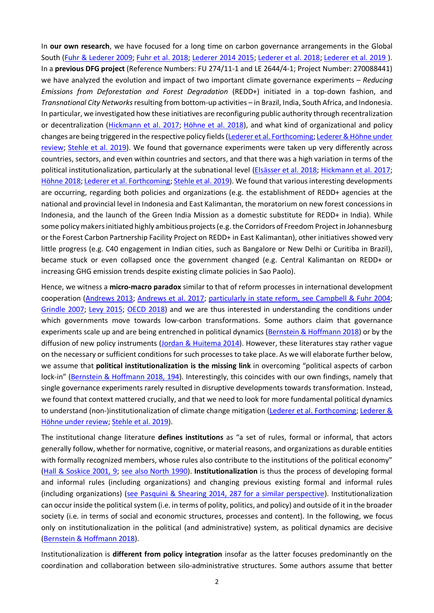In **our own research**, we have focused for a long time on carbon governance arrangements in the Global South [\(Fuhr & Lederer 2009;](#page-12-4) [Fuhr et al. 2018;](#page-12-5) [Lederer 2014](#page-13-2) [2015;](#page-13-3) [Lederer et al. 2018;](#page-13-4) [Lederer et al. 2019 \)](#page-13-0). In a **previous DFG project** (Reference Numbers: FU 274/11-1 and LE 2644/4-1; Project Number: 270088441) we have analyzed the evolution and impact of two important climate governance experiments – *Reducing Emissions from Deforestation and Forest Degradation* (REDD+) initiated in a top-down fashion, and *Transnational City Networks*resulting from bottom-up activities – in Brazil, India, South Africa, and Indonesia. In particular, we investigated how these initiatives are reconfiguring public authority through recentralization or decentralization [\(Hickmann et al.](#page-12-9) 2017; [Höhne et al. 2018\)](#page-12-10), and what kind of organizational and policy changes are being triggered in the respective policy fields [\(Lederer et al. Forthcoming;](#page-13-5) [Lederer & Höhne under](#page-13-6)  [review;](#page-13-6) [Stehle et al. 2019\)](#page-14-3). We found that governance experiments were taken up very differently across countries, sectors, and even within countries and sectors, and that there was a high variation in terms of the political institutionalization, particularly at the subnational level [\(Elsässer et al. 2018;](#page-12-11) [Hickmann et al. 2017;](#page-12-9) [Höhne 2018;](#page-12-12) [Lederer et al. Forthcoming;](#page-13-5) [Stehle et al. 2019\)](#page-14-3). We found that various interesting developments are occurring, regarding both policies and organizations (e.g. the establishment of REDD+ agencies at the national and provincial level in Indonesia and East Kalimantan, the moratorium on new forest concessions in Indonesia, and the launch of the Green India Mission as a domestic substitute for REDD+ in India). While some policy makers initiated highly ambitious projects (e.g. the Corridors of Freedom Project in Johannesburg or the Forest Carbon Partnership Facility Project on REDD+ in East Kalimantan), other initiatives showed very little progress (e.g. C40 engagement in Indian cities, such as Bangalore or New Delhi or Curitiba in Brazil), became stuck or even collapsed once the government changed (e.g. Central Kalimantan on REDD+ or increasing GHG emission trends despite existing climate policies in Sao Paolo).

Hence, we witness a **micro-macro paradox** similar to that of reform processes in international development cooperation [\(Andrews 2013;](#page-11-0) [Andrews et al. 2017;](#page-11-1) [particularly in state reform, see Campbell & Fuhr 2004;](#page-12-13) [Grindle 2007;](#page-12-14) [Levy 2015;](#page-13-7) [OECD 2018\)](#page-13-8) and we are thus interested in understanding the conditions under which governments move towards low-carbon transformations. Some authors claim that governance experiments scale up and are being entrenched in political dynamics [\(Bernstein & Hoffmann 2018\)](#page-11-2) or by the diffusion of new policy instruments [\(Jordan & Huitema 2014\)](#page-13-9). However, these literatures stay rather vague on the necessary or sufficient conditions for such processes to take place. As we will elaborate further below, we assume that **political institutionalization is the missing link** in overcoming "political aspects of carbon lock-in" [\(Bernstein & Hoffmann 2018,](#page-11-2) 194). Interestingly, this coincides with our own findings, namely that single governance experiments rarely resulted in disruptive developments towards transformation. Instead, we found that context mattered crucially, and that we need to look for more fundamental political dynamics to understand (non-)institutionalization of climate change mitigation [\(Lederer et al. Forthcoming;](#page-13-5) Lederer & [Höhne under review;](#page-13-6) [Stehle et al. 2019\)](#page-14-3).

The institutional change literature **defines institutions** as "a set of rules, formal or informal, that actors generally follow, whether for normative, cognitive, or material reasons, and organizations as durable entities with formally recognized members, whose rules also contribute to the institutions of the political economy" [\(Hall & Soskice 2001, 9;](#page-12-15) [see also North 1990\)](#page-13-10). **Institutionalization** is thus the process of developing formal and informal rules (including organizations) and changing previous existing formal and informal rules (including organizations) [\(see Pasquini & Shearing 2014, 287 for a similar perspective\)](#page-13-11). Institutionalization can occur inside the political system (i.e. in terms of polity, politics, and policy) and outside of it in the broader society (i.e. in terms of social and economic structures, processes and content). In the following, we focus only on institutionalization in the political (and administrative) system, as political dynamics are decisive [\(Bernstein & Hoffmann 2018\)](#page-11-2).

Institutionalization is **different from policy integration** insofar as the latter focuses predominantly on the coordination and collaboration between silo-administrative structures. Some authors assume that better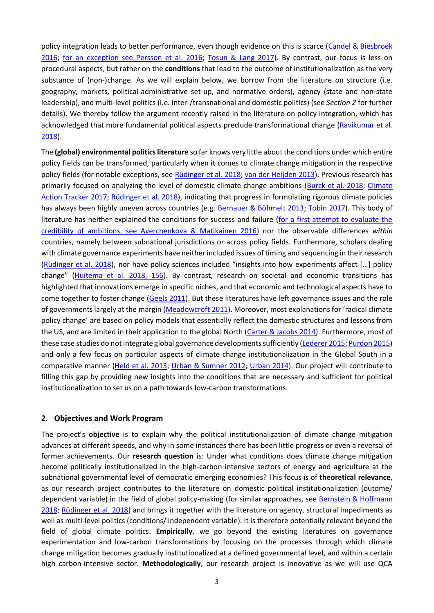policy integration leads to better performance, even though evidence on this is scarce [\(Candel & Biesbroek](#page-12-16)  [2016;](#page-12-16) [for an exception see Persson et al. 2016;](#page-13-12) [Tosun & Lang 2017\)](#page-14-4). By contrast, our focus is less on procedural aspects, but rather on the **conditions** that lead to the outcome of institutionalization as the very substance of (non-)change. As we will explain below, we borrow from the literature on structure (i.e. geography, markets, political-administrative set-up, and normative orders), agency (state and non-state leadership), and multi-level politics (i.e. inter-/transnational and domestic politics) (see *Section 2* for further details). We thereby follow the argument recently raised in the literature on policy integration, which has acknowledged that more fundamental political aspects preclude transformational change [\(Ravikumar et al.](#page-13-13)  [2018\)](#page-13-13).

The **(global) environmental politicsliterature** so far knows very little about the conditions under which entire policy fields can be transformed, particularly when it comes to climate change mitigation in the respective policy fields (for notable exceptions, see [Rüdinger et al. 2018;](#page-14-5) [van der Heijden 2013\)](#page-14-6). Previous research has primarily focused on analyzing the level of domestic climate change ambitions [\(Burck et al. 2018;](#page-12-17) [Climate](#page-12-18)  [Action Tracker 2017;](#page-12-18) [Rüdinger et al. 2018\)](#page-14-5), indicating that progress in formulating rigorous climate policies has always been highly uneven across countries (e.g. [Bernauer & Böhmelt 2013;](#page-11-3) [Tobin 2017\)](#page-14-7). This body of literature has neither explained the conditions for success and failure [\(for a first attempt to evaluate the](#page-11-4)  [credibility of ambitions, see Averchenkova & Matikainen 2016\)](#page-11-4) nor the observable differences *within* countries, namely between subnational jurisdictions or across policy fields. Furthermore, scholars dealing with climate governance experiments have neither included issues of timing and sequencing in their research [\(Rüdinger et al. 2018\)](#page-14-5), nor have policy sciences included "insights into how experiments affect […] policy change" [\(Huitema et al. 2018, 156\)](#page-12-3). By contrast, research on societal and economic transitions has highlighted that innovations emerge in specific niches, and that economic and technological aspects have to come together to foster change [\(Geels 2011\)](#page-12-19). But these literatures have left governance issues and the role of governments largely at the margin [\(Meadowcroft 2011\)](#page-13-14). Moreover, most explanations for 'radical climate policy change' are based on policy models that essentially reflect the domestic structures and lessons from the US, and are limited in their application to the global North [\(Carter & Jacobs 2014\)](#page-12-20). Furthermore, most of these case studies do not integrate global governance developmentssufficiently [\(Lederer 2015;](#page-13-3) [Purdon 2015\)](#page-13-15) and only a few focus on particular aspects of climate change institutionalization in the Global South in a comparative manner [\(Held et al. 2013;](#page-12-21) [Urban & Sumner 2012;](#page-14-8) [Urban 2014\)](#page-14-9). Our project will contribute to filling this gap by providing new insights into the conditions that are necessary and sufficient for political institutionalization to set us on a path towards low-carbon transformations.

#### **2. Objectives and Work Program**

The project's **objective** is to explain why the political institutionalization of climate change mitigation advances at different speeds, and why in some instances there has been little progress or even a reversal of former achievements. Our **research question** is: Under what conditions does climate change mitigation become politically institutionalized in the high-carbon intensive sectors of energy and agriculture at the subnational governmental level of democratic emerging economies? This focus is of **theoretical relevance**, as our research project contributes to the literature on domestic political institutionalization (outome/ dependent variable) in the field of global policy-making (for similar approaches, see [Bernstein & Hoffmann](#page-11-2)  [2018;](#page-11-2) [Rüdinger et al. 2018\)](#page-14-5) and brings it together with the literature on agency, structural impediments as well as multi-level politics (conditions/ independent variable). It is therefore potentially relevant beyond the field of global climate politics. **Empirically**, we go beyond the existing literatures on governance experimentation and low-carbon transformations by focusing on the processes through which climate change mitigation becomes gradually institutionalized at a defined governmental level, and within a certain high carbon-intensive sector. **Methodologically**, our research project is innovative as we will use QCA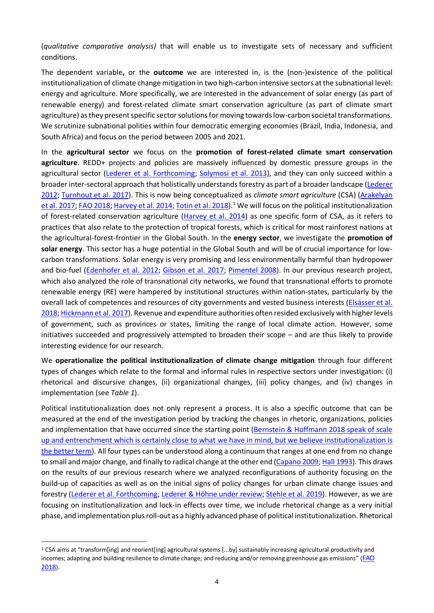(*qualitative comparative analysis)* that will enable us to investigate sets of necessary and sufficient conditions.

The dependent variable**,** or the **outcome** we are interested in, is the (non-)existence of the political institutionalization of climate change mitigation in two high-carbon intensive sectors at the subnational level: energy and agriculture. More specifically, we are interested in the advancement of solar energy (as part of renewable energy) and forest-related climate smart conservation agriculture (as part of climate smart agriculture) as they present specific sector solutions for moving towards low-carbon societal transformations. We scrutinize subnational polities within four democratic emerging economies (Brazil, India, Indonesia, and South Africa) and focus on the period between 2005 and 2021.

In the **agricultural sector** we focus on the **promotion of forest-related climate smart conservation agriculture**. REDD+ projects and policies are massively influenced by domestic pressure groups in the agricultural sector [\(Lederer et al. Forthcoming;](#page-13-5) [Solymosi et al. 2013\)](#page-14-10), and they can only succeed within a broader inter-sectoral approach that holistically understandsforestry as part of a broader landscape [\(Lederer](#page-13-16)  [2012;](#page-13-16) [Turnhout et al. 2017\)](#page-14-11). This is now being conceptualized as *climate smart agriculture* (CSA) [\(Arakelyan](#page-11-5)  [et al. 2017;](#page-11-5) [FAO 2018;](#page-12-22) [Harvey et al. 2014;](#page-12-23) [Totin et al. 2018\)](#page-14-12)<sup>1</sup> We will focus on the political institutionalization of forest-related conservation agriculture ( $\frac{Harvey}{}$  et al. 2014) as one specific form of CSA, as it refers to practices that also relate to the protection of tropical forests, which is critical for most rainforest nations at the agricultural-forest-frontier in the Global South. In the **energy sector**, we investigate the **promotion of solar energy**. This sector has a huge potential in the Global South and will be of crucial importance for lowcarbon transformations. Solar energy is very promising and less environmentally harmful than hydropower and bio-fuel [\(Edenhofer et al. 2012;](#page-12-24) [Gibson et al. 2017;](#page-12-25) [Pimentel 2008\)](#page-13-17). In our previous research project, which also analyzed the role of transnational city networks, we found that transnational efforts to promote renewable energy (RE) were hampered by institutional structures within nation-states, particularly by the overall lack of competences and resources of city governments and vested business interests [\(Elsässer et al.](#page-12-11)  [2018;](#page-12-11) [Hickmann et al. 2017\)](#page-12-9). Revenue and expenditure authorities often resided exclusively with higher levels of government, such as provinces or states, limiting the range of local climate action. However, some initiatives succeeded and progressively attempted to broaden their scope – and are thus likely to provide interesting evidence for our research.

We **operationalize the political institutionalization of climate change mitigation** through four different types of changes which relate to the formal and informal rules in respective sectors under investigation: (i) rhetorical and discursive changes, (ii) organizational changes, (iii) policy changes, and (iv) changes in implementation (see *Table 1*).

Political institutionalization does not only represent a process. It is also a specific outcome that can be measured at the end of the investigation period by tracking the changes in rhetoric, organizations, policies and implementation that have occurred since the starting point [\(Bernstein & Hoffmann 2018 speak of scale](#page-11-2)  [up and entrenchment which is certainly close to what we have in mind,](#page-11-2) but we believe institutionalization is [the better term\)](#page-11-2). All four types can be understood along a continuum that ranges at one end from no change to small and major change, and finally to radical change at the other end [\(Capano 2009;](#page-12-26) [Hall 1993\)](#page-12-27). This draws on the results of our previous research where we analyzed reconfigurations of authority focusing on the build-up of capacities as well as on the initial signs of policy changes for urban climate change issues and forestry [\(Lederer et al. Forthcoming;](#page-13-5) [Lederer & Höhne under review;](#page-13-6) [Stehle et al. 2019\)](#page-14-3). However, as we are focusing on institutionalization and lock-in effects over time, we include rhetorical change as a very initial phase, and implementation plus roll-out as a highly advanced phase of political institutionalization. Rhetorical

<sup>1</sup> CSA aims at "transform[ing] and reorient[ing] agricultural systems [...by] sustainably increasing agricultural productivity and incomes; adapting and building resilience to climate change; and reducing and/or removing greenhouse gas emissions" (FAO [2018](#page-12-22)).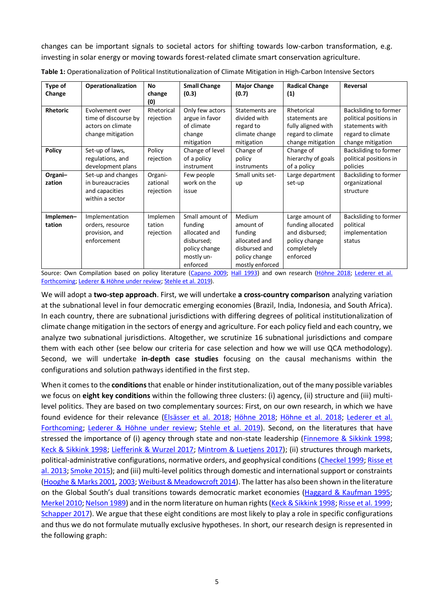changes can be important signals to societal actors for shifting towards low-carbon transformation, e.g. investing in solar energy or moving towards forest-related climate smart conservation agriculture.

| Type of             | Operationalization                                                                | No                               | <b>Small Change</b>                                                                                  | <b>Major Change</b>                                                                                  | <b>Radical Change</b>                                                                             | Reversal                                                                                                     |
|---------------------|-----------------------------------------------------------------------------------|----------------------------------|------------------------------------------------------------------------------------------------------|------------------------------------------------------------------------------------------------------|---------------------------------------------------------------------------------------------------|--------------------------------------------------------------------------------------------------------------|
| Change              |                                                                                   | change<br>(0)                    | (0.3)                                                                                                | (0.7)                                                                                                | (1)                                                                                               |                                                                                                              |
| <b>Rhetoric</b>     | Evolvement over<br>time of discourse by<br>actors on climate<br>change mitigation | Rhetorical<br>rejection          | Only few actors<br>argue in favor<br>of climate<br>change<br>mitigation                              | Statements are<br>divided with<br>regard to<br>climate change<br>mitigation                          | Rhetorical<br>statements are<br>fully aligned with<br>regard to climate<br>change mitigation      | Backsliding to former<br>political positions in<br>statements with<br>regard to climate<br>change mitigation |
| <b>Policy</b>       | Set-up of laws,<br>regulations, and<br>development plans                          | Policy<br>rejection              | Change of level<br>of a policy<br>instrument                                                         | Change of<br>policy<br>instruments                                                                   | Change of<br>hierarchy of goals<br>of a policy                                                    | <b>Backsliding to former</b><br>political positions in<br>policies                                           |
| Organi-<br>zation   | Set-up and changes<br>in bureaucracies<br>and capacities<br>within a sector       | Organi-<br>zational<br>rejection | Few people<br>work on the<br>issue                                                                   | Small units set-<br>up                                                                               | Large department<br>set-up                                                                        | Backsliding to former<br>organizational<br>structure                                                         |
| Implemen-<br>tation | Implementation<br>orders, resource<br>provision, and<br>enforcement               | Implemen<br>tation<br>rejection  | Small amount of<br>funding<br>allocated and<br>disbursed;<br>policy change<br>mostly un-<br>enforced | Medium<br>amount of<br>funding<br>allocated and<br>disbursed and<br>policy change<br>mostly enforced | Large amount of<br>funding allocated<br>and disbursed;<br>policy change<br>completely<br>enforced | Backsliding to former<br>political<br>implementation<br>status                                               |

**Table 1:** Operationalization of Political Institutionalization of Climate Mitigation in High-Carbon Intensive Sectors

Source: Own Compilation based on policy literature [\(Capano 2009;](#page-12-26) [Hall 1993\)](#page-12-27) and own research [\(Höhne 2018;](#page-12-12) [Lederer et al.](#page-13-5)  [Forthcoming;](#page-13-5) [Lederer & Höhne under review;](#page-13-6) [Stehle et al. 2019\)](#page-14-3).

We will adopt a **two-step approach**. First, we will undertake **a cross-country comparison** analyzing variation at the subnational level in four democratic emerging economies (Brazil, India, Indonesia, and South Africa). In each country, there are subnational jurisdictions with differing degrees of political institutionalization of climate change mitigation in the sectors of energy and agriculture. For each policy field and each country, we analyze two subnational jurisdictions. Altogether, we scrutinize 16 subnational jurisdictions and compare them with each other (see below our criteria for case selection and how we will use QCA methodology). Second, we will undertake **in-depth case studies** focusing on the causal mechanisms within the configurations and solution pathways identified in the first step.

When it comes to the **conditions**that enable or hinder institutionalization, out of the many possible variables we focus on **eight key conditions** within the following three clusters: (i) agency, (ii) structure and (iii) multilevel politics. They are based on two complementary sources: First, on our own research, in which we have found evidence for their relevance [\(Elsässer et al. 2018;](#page-12-11) [Höhne 2018;](#page-12-12) [Höhne et al. 2018;](#page-12-10) [Lederer et al.](#page-13-5)  [Forthcoming;](#page-13-5) [Lederer & Höhne under review;](#page-13-6) [Stehle et al. 2019\)](#page-14-3). Second, on the literatures that have stressed the importance of (i) agency through state and non-state leadership [\(Finnemore & Sikkink 1998;](#page-12-28) [Keck & Sikkink 1998;](#page-13-18) [Liefferink & Wurzel 2017;](#page-13-19) [Mintrom & Luetjens 2017\)](#page-13-20); (ii) structures through markets, political-administrative configurations, normative orders, and geophysical conditions [\(Checkel 1999;](#page-12-29) [Risse et](#page-13-21)  [al. 2013;](#page-13-21) [Smoke 2015\)](#page-14-13); and (iii) multi-level politics through domestic and international support or constraints [\(Hooghe & Marks 2001,](#page-12-30) [2003;](#page-12-31) [Weibust & Meadowcroft 2014\)](#page-14-14). The latter has also been shown in the literature on the Global South's dual transitions towards democratic market economies [\(Haggard & Kaufman 1995;](#page-12-32) [Merkel 2010;](#page-13-22) [Nelson 1989\)](#page-13-23) and in the norm literature on human rights [\(Keck & Sikkink 1998;](#page-13-18) [Risse et al. 1999;](#page-13-24) [Schapper 2017\)](#page-14-15). We argue that these eight conditions are most likely to play a role in specific configurations and thus we do not formulate mutually exclusive hypotheses. In short, our research design is represented in the following graph: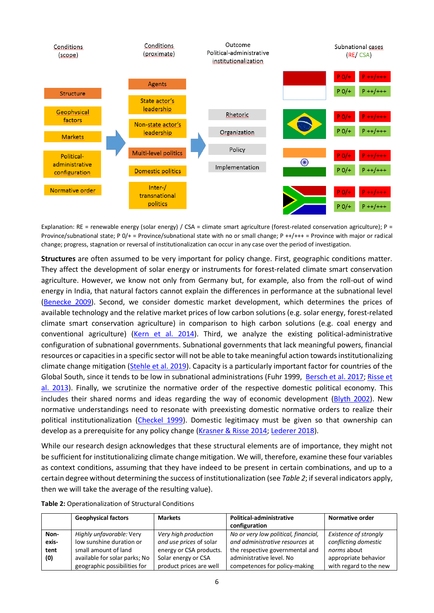

Explanation: RE = renewable energy (solar energy) / CSA = climate smart agriculture (forest-related conservation agriculture); P = Province/subnational state; P 0/+ = Province/subnational state with no or small change; P ++/+++ = Province with major or radical change; progress, stagnation or reversal of institutionalization can occur in any case over the period of investigation.

**Structures** are often assumed to be very important for policy change. First, geographic conditions matter. They affect the development of solar energy or instruments for forest-related climate smart conservation agriculture. However, we know not only from Germany but, for example, also from the roll-out of wind energy in India, that natural factors cannot explain the differences in performance at the subnational level [\(Benecke](#page-11-6) 2009). Second, we consider domestic market development, which determines the prices of available technology and the relative market prices of low carbon solutions (e.g. solar energy, forest-related climate smart conservation agriculture) in comparison to high carbon solutions (e.g. coal energy and conventional agriculture) [\(Kern et al. 2014\)](#page-13-25). Third, we analyze the existing political-administrative configuration of subnational governments. Subnational governments that lack meaningful powers, financial resources or capacities in a specific sector will not be able to take meaningful action towards institutionalizing climate change mitigation [\(Stehle et al. 2019\)](#page-14-3). Capacity is a particularly important factor for countries of the Global South, since it tends to be low in subnational administrations (Fuhr 1999, [Bersch et al. 2017;](#page-11-7) [Risse et](#page-13-21) [al. 2013\)](#page-13-21). Finally, we scrutinize the normative order of the respective domestic political economy. This includes their shared norms and ideas regarding the way of economic development [\(Blyth 2002\)](#page-11-8). New normative understandings need to resonate with preexisting domestic normative orders to realize their political institutionalization [\(Checkel 1999\)](#page-12-29). Domestic legitimacy must be given so that ownership can develop as a prerequisite for any policy change [\(Krasner & Risse 2014;](#page-13-26) [Lederer 2018\)](#page-13-27).

While our research design acknowledges that these structural elements are of importance, they might not be sufficient for institutionalizing climate change mitigation. We will, therefore, examine these four variables as context conditions, assuming that they have indeed to be present in certain combinations, and up to a certain degree without determining the success of institutionalization (see *Table 2*; if several indicators apply, then we will take the average of the resulting value).

|  | Table 2: Operationalization of Structural Conditions |  |  |  |
|--|------------------------------------------------------|--|--|--|
|--|------------------------------------------------------|--|--|--|

|       | <b>Geophysical factors</b>    | <b>Markets</b>          | Political-administrative<br>configuration | Normative order        |
|-------|-------------------------------|-------------------------|-------------------------------------------|------------------------|
| Non-  | Highly unfavorable: Very      | Very high production    | No or very low political, financial,      | Existence of strongly  |
| exis- | low sunshine duration or      | and use prices of solar | and administrative resources at           | conflicting domestic   |
| tent  | small amount of land          | energy or CSA products. | the respective governmental and           | norms about            |
| (0)   | available for solar parks; No | Solar energy or CSA     | administrative level. No                  | appropriate behavior   |
|       | geographic possibilities for  | product prices are well | competences for policy-making             | with regard to the new |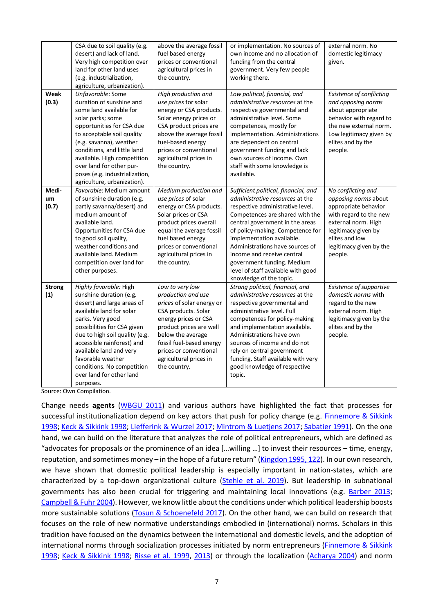|                      | CSA due to soil quality (e.g.<br>desert) and lack of land.<br>Very high competition over<br>land for other land uses<br>(e.g. industrialization,<br>agriculture, urbanization).                                                                                                                                                                       | above the average fossil<br>fuel based energy<br>prices or conventional<br>agricultural prices in<br>the country.                                                                                                                                                 | or implementation. No sources of<br>own income and no allocation of<br>funding from the central<br>government. Very few people<br>working there.                                                                                                                                                                                                                                                                          | external norm. No<br>domestic legitimacy<br>given.                                                                                                                                                 |
|----------------------|-------------------------------------------------------------------------------------------------------------------------------------------------------------------------------------------------------------------------------------------------------------------------------------------------------------------------------------------------------|-------------------------------------------------------------------------------------------------------------------------------------------------------------------------------------------------------------------------------------------------------------------|---------------------------------------------------------------------------------------------------------------------------------------------------------------------------------------------------------------------------------------------------------------------------------------------------------------------------------------------------------------------------------------------------------------------------|----------------------------------------------------------------------------------------------------------------------------------------------------------------------------------------------------|
| Weak<br>(0.3)        | Unfavorable: Some<br>duration of sunshine and<br>some land available for<br>solar parks; some<br>opportunities for CSA due<br>to acceptable soil quality<br>(e.g. savanna), weather<br>conditions, and little land<br>available. High competition<br>over land for other pur-<br>poses (e.g. industrialization,<br>agriculture, urbanization).        | High production and<br>use prices for solar<br>energy or CSA products.<br>Solar energy prices or<br>CSA product prices are<br>above the average fossil<br>fuel-based energy<br>prices or conventional<br>agricultural prices in<br>the country.                   | Low political, financial, and<br>administrative resources at the<br>respective governmental and<br>administrative level. Some<br>competences, mostly for<br>implementation. Administrations<br>are dependent on central<br>government funding and lack<br>own sources of income. Own<br>staff with some knowledge is<br>available.                                                                                        | <b>Existence of conflicting</b><br>and opposing norms<br>about appropriate<br>behavior with regard to<br>the new external norm.<br>Low legitimacy given by<br>elites and by the<br>people.         |
| Medi-<br>um<br>(0.7) | Favorable: Medium amount<br>of sunshine duration (e.g.<br>partly savanna/desert) and<br>medium amount of<br>available land.<br>Opportunities for CSA due<br>to good soil quality,<br>weather conditions and<br>available land. Medium<br>competition over land for<br>other purposes.                                                                 | Medium production and<br>use prices of solar<br>energy or CSA products.<br>Solar prices or CSA<br>product prices overall<br>equal the average fossil<br>fuel based energy<br>prices or conventional<br>agricultural prices in<br>the country.                     | Sufficient political, financial, and<br><i>administrative resources</i> at the<br>respective administrative level.<br>Competences are shared with the<br>central government in the areas<br>of policy-making. Competence for<br>implementation available.<br>Administrations have sources of<br>income and receive central<br>government funding. Medium<br>level of staff available with good<br>knowledge of the topic. | No conflicting and<br>opposing norms about<br>appropriate behavior<br>with regard to the new<br>external norm. High<br>legitimacy given by<br>elites and low<br>legitimacy given by the<br>people. |
| <b>Strong</b><br>(1) | Highly favorable: High<br>sunshine duration (e.g.<br>desert) and large areas of<br>available land for solar<br>parks. Very good<br>possibilities for CSA given<br>due to high soil quality (e.g.<br>accessible rainforest) and<br>available land and very<br>favorable weather<br>conditions. No competition<br>over land for other land<br>purposes. | Low to very low<br>production and use<br>prices of solar energy or<br>CSA products. Solar<br>energy prices or CSA<br>product prices are well<br>below the average<br>fossil fuel-based energy<br>prices or conventional<br>agricultural prices in<br>the country. | Strong political, financial, and<br>administrative resources at the<br>respective governmental and<br>administrative level. Full<br>competences for policy-making<br>and implementation available.<br>Administrations have own<br>sources of income and do not<br>rely on central government<br>funding. Staff available with very<br>good knowledge of respective<br>topic.                                              | Existence of supportive<br>domestic norms with<br>regard to the new<br>external norm. High<br>legitimacy given by the<br>elites and by the<br>people.                                              |

Source: Own Compilation.

Change needs **agents** [\(WBGU 2011\)](#page-14-2) and various authors have highlighted the fact that processes for successful institutionalization depend on key actors that push for policy change (e.g. [Finnemore & Sikkink](#page-12-28)  [1998;](#page-12-28) [Keck & Sikkink 1998;](#page-13-18) [Liefferink & Wurzel 2017;](#page-13-19) Mintrom [& Luetjens 2017;](#page-13-20) [Sabatier 1991\)](#page-14-16). On the one hand, we can build on the literature that analyzes the role of political entrepreneurs, which are defined as "advocates for proposals or the prominence of an idea […willing …] to invest their resources – time, energy, reputation, and sometimes money – in the hope of a future return" [\(Kingdon 1995, 122\)](#page-13-28). In our own research, we have shown that domestic political leadership is especially important in nation-states, which are characterized by a top-down organizational culture [\(Stehle et al. 2019\)](#page-14-3). But leadership in subnational governments has also been crucial for triggering and maintaining local innovations (e.g. [Barber 2013;](#page-11-9) [Campbell & Fuhr 2004\)](#page-12-13). However, we know little about the conditions under which political leadership boosts more sustainable solutions [\(Tosun & Schoenefeld 2017\)](#page-14-17). On the other hand, we can build on research that focuses on the role of new normative understandings embodied in (international) norms. Scholars in this tradition have focused on the dynamics between the international and domestic levels, and the adoption of international norms through socialization processes initiated by norm entrepreneurs (Finnemore & Sikkink [1998;](#page-12-28) [Keck & Sikkink 1998;](#page-13-18) [Risse et al. 1999,](#page-13-24) [2013\)](#page-13-21) or through the localization [\(Acharya 2004\)](#page-11-10) and norm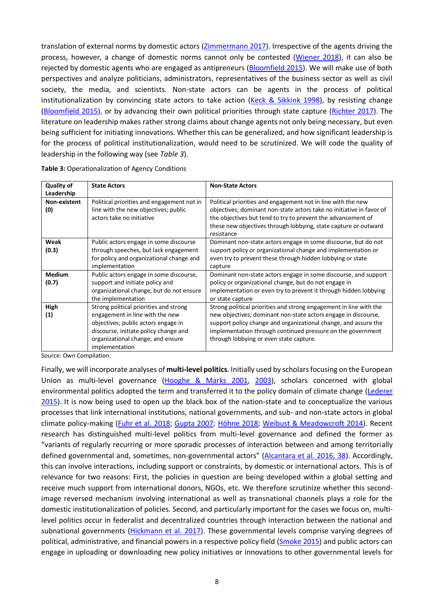translation of external norms by domestic actors [\(Zimmermann 2017\)](#page-14-18). Irrespective of the agents driving the process, however, a change of domestic norms cannot only be contested [\(Wiener 2018\)](#page-14-19), it can also be rejected by domestic agents who are engaged as antipreneurs [\(Bloomfield 2015\)](#page-11-11). We will make use of both perspectives and analyze politicians, administrators, representatives of the business sector as well as civil society, the media, and scientists. Non-state actors can be agents in the process of political institutionalization by convincing state actors to take action [\(Keck & Sikkink 1998\)](#page-13-18), by resisting change [\(Bloomfield 2015\)](#page-11-11), or by advancing their own political priorities through state capture [\(Richter 2017\)](#page-13-29). The literature on leadership makes rather strong claims about change agents not only being necessary, but even being sufficient for initiating innovations. Whether this can be generalized, and how significant leadership is for the process of political institutionalization, would need to be scrutinized. We will code the quality of leadership in the following way (see *Table 3*).

| <b>Quality of</b><br>Leadership | <b>State Actors</b>                                                                                                                                                                                              | <b>Non-State Actors</b>                                                                                                                                                                                                                                                                                           |
|---------------------------------|------------------------------------------------------------------------------------------------------------------------------------------------------------------------------------------------------------------|-------------------------------------------------------------------------------------------------------------------------------------------------------------------------------------------------------------------------------------------------------------------------------------------------------------------|
| Non-existent<br>(0)             | Political priorities and engagement not in<br>line with the new objectives; public<br>actors take no initiative                                                                                                  | Political priorities and engagement not in line with the new<br>objectives; dominant non-state actors take no initiative in favor of<br>the objectives but tend to try to prevent the advancement of<br>these new objectives through lobbying, state capture or outward<br>resistance                             |
| Weak<br>(0.3)                   | Public actors engage in some discourse<br>through speeches, but lack engagement<br>for policy and organizational change and<br>implementation                                                                    | Dominant non-state actors engage in some discourse, but do not<br>support policy or organizational change and implementation or<br>even try to prevent these through hidden lobbying or state<br>capture                                                                                                          |
| <b>Medium</b><br>(0.7)          | Public actors engage in some discourse,<br>support and initiate policy and<br>organizational change, but do not ensure<br>the implementation                                                                     | Dominant non-state actors engage in some discourse, and support<br>policy or organizational change, but do not engage in<br>implementation or even try to prevent it through hidden lobbying<br>or state capture                                                                                                  |
| High<br>(1)                     | Strong political priorities and strong<br>engagement in line with the new<br>objectives; public actors engage in<br>discourse, initiate policy change and<br>organizational change, and ensure<br>implementation | Strong political priorities and strong engagement in line with the<br>new objectives; dominant non-state actors engage in discourse,<br>support policy change and organizational change, and assure the<br>implementation through continued pressure on the government<br>through lobbying or even state capture. |

|  | Table 3: Operationalization of Agency Conditions |  |  |  |
|--|--------------------------------------------------|--|--|--|
|--|--------------------------------------------------|--|--|--|

Source: Own Compilation.

Finally, we will incorporate analyses of **multi-level politics**. Initially used by scholars focusing on the European Union as multi-level governance [\(Hooghe & Marks 2001,](#page-12-30) [2003\)](#page-12-31), scholars concerned with global environmental politics adopted the term and transferred it to the policy domain of climate change [\(Lederer](#page-13-3)  [2015\)](#page-13-3). It is now being used to open up the black box of the nation-state and to conceptualize the various processes that link international institutions, national governments, and sub- and non-state actors in global climate policy-making [\(Fuhr et al. 2018;](#page-12-5) [Gupta 2007;](#page-12-33) [Höhne 2018;](#page-12-12) [Weibust & Meadowcroft 2014\)](#page-14-14). Recent research has distinguished multi-level politics from multi-level governance and defined the former as "variants of regularly recurring or more sporadic processes of interaction between and among territorially defined governmental and, sometimes, non-governmental actors" [\(Alcantara et al. 2016, 38\)](#page-11-12). Accordingly, this can involve interactions, including support or constraints, by domestic or international actors. This is of relevance for two reasons: First, the policies in question are being developed within a global setting and receive much support from international donors, NGOs, etc. We therefore scrutinize whether this secondimage reversed mechanism involving international as well as transnational channels plays a role for the domestic institutionalization of policies. Second, and particularly important for the cases we focus on, multilevel politics occur in federalist and decentralized countries through interaction between the national and subnational governments [\(Hickmann et al. 2017\)](#page-12-9). These governmental levels comprise varying degrees of political, administrative, and financial powers in a respective policy field [\(Smoke 2015\)](#page-14-13) and public actors can engage in uploading or downloading new policy initiatives or innovations to other governmental levels for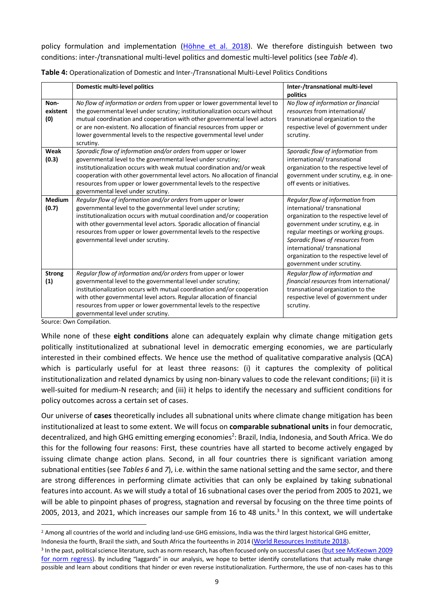policy formulation and implementation [\(Höhne et al. 2018\)](#page-12-10). We therefore distinguish between two conditions: inter-/transnational multi-level politics and domestic multi-level politics (see *Table 4*).

|                         | Domestic multi-level politics                                                                                                                                                                                                                                                                                                                                                                        | Inter-/transnational multi-level<br>politics                                                                                                                                                                                                                                                                                        |
|-------------------------|------------------------------------------------------------------------------------------------------------------------------------------------------------------------------------------------------------------------------------------------------------------------------------------------------------------------------------------------------------------------------------------------------|-------------------------------------------------------------------------------------------------------------------------------------------------------------------------------------------------------------------------------------------------------------------------------------------------------------------------------------|
| Non-<br>existent<br>(0) | No flow of information or orders from upper or lower governmental level to<br>the governmental level under scrutiny; institutionalization occurs without<br>mutual coordination and cooperation with other governmental level actors<br>or are non-existent. No allocation of financial resources from upper or<br>lower governmental levels to the respective governmental level under<br>scrutiny. | No flow of information or financial<br>resources from international/<br>transnational organization to the<br>respective level of government under<br>scrutiny.                                                                                                                                                                      |
| Weak<br>(0.3)           | Sporadic flow of information and/or orders from upper or lower<br>governmental level to the governmental level under scrutiny;<br>institutionalization occurs with weak mutual coordination and/or weak<br>cooperation with other governmental level actors. No allocation of financial<br>resources from upper or lower governmental levels to the respective<br>governmental level under scrutiny. | Sporadic flow of information from<br>international/transnational<br>organization to the respective level of<br>government under scrutiny, e.g. in one-<br>off events or initiatives.                                                                                                                                                |
| <b>Medium</b><br>(0.7)  | Regular flow of information and/or orders from upper or lower<br>governmental level to the governmental level under scrutiny;<br>institutionalization occurs with mutual coordination and/or cooperation<br>with other governmental level actors. Sporadic allocation of financial<br>resources from upper or lower governmental levels to the respective<br>governmental level under scrutiny.      | Regular flow of information from<br>international/transnational<br>organization to the respective level of<br>government under scrutiny, e.g. in<br>regular meetings or working groups.<br>Sporadic flows of resources from<br>international/transnational<br>organization to the respective level of<br>government under scrutiny. |
| <b>Strong</b><br>(1)    | Regular flow of information and/or orders from upper or lower<br>governmental level to the governmental level under scrutiny;<br>institutionalization occurs with mutual coordination and/or cooperation<br>with other governmental level actors. Regular allocation of financial<br>resources from upper or lower governmental levels to the respective<br>governmental level under scrutiny.       | Regular flow of information and<br>financial resources from international/<br>transnational organization to the<br>respective level of government under<br>scrutiny.                                                                                                                                                                |

Source: Own Compilation.

While none of these **eight conditions** alone can adequately explain why climate change mitigation gets politically institutionalized at subnational level in democratic emerging economies, we are particularly interested in their combined effects. We hence use the method of qualitative comparative analysis (QCA) which is particularly useful for at least three reasons: (i) it captures the complexity of political institutionalization and related dynamics by using non-binary values to code the relevant conditions; (ii) it is well-suited for medium-N research; and (iii) it helps to identify the necessary and sufficient conditions for policy outcomes across a certain set of cases.

Our universe of **cases** theoretically includes all subnational units where climate change mitigation has been institutionalized at least to some extent. We will focus on **comparable subnational units** in four democratic, decentralized, and high GHG emitting emerging economies<sup>2</sup>: Brazil, India, Indonesia, and South Africa. We do this for the following four reasons: First, these countries have all started to become actively engaged by issuing climate change action plans. Second, in all four countries there is significant variation among subnational entities (see *Tables 6* and *7*), i.e. within the same national setting and the same sector, and there are strong differences in performing climate activities that can only be explained by taking subnational features into account. As we will study a total of 16 subnational cases over the period from 2005 to 2021, we will be able to pinpoint phases of progress, stagnation and reversal by focusing on the three time points of 2005, 2013, and 2021, which increases our sample from 16 to 48 units. 3 In this context, we will undertake

<sup>&</sup>lt;sup>2</sup> Among all countries of the world and including land-use GHG emissions, India was the third largest historical GHG emitter, Indonesia the fourth, Brazil the sixth, and South Africa the fourteenths in 2014 ([World Resources Institute 2018](#page-14-20)).

<sup>&</sup>lt;sup>3</sup> In the past, political science literature, such as norm research, has often focused only on successful cases (<u>but see McKeown 2009</u> [for norm regress](#page-13-30)). By including "laggards" in our analysis, we hope to better identify constellations that actually make change possible and learn about conditions that hinder or even reverse institutionalization. Furthermore, the use of non-cases has to this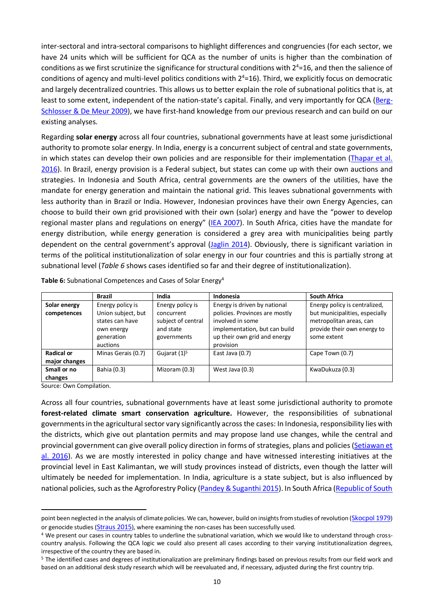inter-sectoral and intra-sectoral comparisons to highlight differences and congruencies (for each sector, we have 24 units which will be sufficient for QCA as the number of units is higher than the combination of conditions as we first scrutinize the significance for structural conditions with  $2^4$ =16, and then the salience of conditions of agency and multi-level politics conditions with  $2^4$ =16). Third, we explicitly focus on democratic and largely decentralized countries. This allows us to better explain the role of subnational politics that is, at least to some extent, independent of the nation-state's capital. Finally, and very importantly for QCA [\(Berg-](#page-11-13)[Schlosser & De Meur 2009\)](#page-11-13), we have first-hand knowledge from our previous research and can build on our existing analyses.

Regarding **solar energy** across all four countries, subnational governments have at least some jurisdictional authority to promote solar energy. In India, energy is a concurrent subject of central and state governments, in which states can develop their own policies and are responsible for their implementation [\(Thapar et al.](#page-14-21)  [2016\)](#page-14-21). In Brazil, energy provision is a Federal subject, but states can come up with their own auctions and strategies. In Indonesia and South Africa, central governments are the owners of the utilities, have the mandate for energy generation and maintain the national grid. This leaves subnational governments with less authority than in Brazil or India. However, Indonesian provinces have their own Energy Agencies, can choose to build their own grid provisioned with their own (solar) energy and have the "power to develop regional master plans and regulations on energy" [\(IEA 2007\)](#page-12-34). In South Africa, cities have the mandate for energy distribution, while energy generation is considered a grey area with municipalities being partly dependent on the central government's approval [\(Jaglin 2014\)](#page-12-35). Obviously, there is significant variation in terms of the political institutionalization of solar energy in our four countries and this is partially strong at subnational level (*Table 6* shows cases identified so far and their degree of institutionalization).

|                                    | <b>Brazil</b>                                                                 | India                                                        | Indonesia                                                                                                                        | <b>South Africa</b>                                                                                     |
|------------------------------------|-------------------------------------------------------------------------------|--------------------------------------------------------------|----------------------------------------------------------------------------------------------------------------------------------|---------------------------------------------------------------------------------------------------------|
| Solar energy                       | Energy policy is                                                              | Energy policy is                                             | Energy is driven by national                                                                                                     | Energy policy is centralized,                                                                           |
| competences                        | Union subject, but<br>states can have<br>own energy<br>generation<br>auctions | concurrent<br>subject of central<br>and state<br>governments | policies. Provinces are mostly<br>involved in some<br>implementation, but can build<br>up their own grid and energy<br>provision | but municipalities, especially<br>metropolitan areas, can<br>provide their own energy to<br>some extent |
| <b>Radical or</b><br>major changes | Minas Gerais (0.7)                                                            | Gujarat $(1)^5$                                              | East Java (0.7)                                                                                                                  | Cape Town (0.7)                                                                                         |
| Small or no<br>changes             | Bahia (0.3)                                                                   | Mizoram (0.3)                                                | West Java (0.3)                                                                                                                  | KwaDukuza (0.3)                                                                                         |

**Table 6:** Subnational Competences and Cases of Solar Energy<sup>4</sup>

Source: Own Compilation.

Across all four countries, subnational governments have at least some jurisdictional authority to promote **forest-related climate smart conservation agriculture.** However, the responsibilities of subnational governments in the agricultural sector vary significantly across the cases: In Indonesia, responsibility lies with the districts, which give out plantation permits and may propose land use changes, while the central and provincial government can give overall policy direction in forms of strategies, plans and policies [\(Setiawan et](#page-14-22)  [al. 2016\)](#page-14-22). As we are mostly interested in policy change and have witnessed interesting initiatives at the provincial level in East Kalimantan, we will study provinces instead of districts, even though the latter will ultimately be needed for implementation. In India, agriculture is a state subject, but is also influenced by national policies, such as the Agroforestry Policy [\(Pandey & Suganthi 2015\)](#page-13-31). In South Africa (Republic of South

point been neglected in the analysis of climate policies. We can, however, build on insights from studies of revolution ([Skocpol 1979](#page-14-23)) or genocide studies ([Straus 2015](#page-14-24)), where examining the non-cases has been successfully used.

<sup>4</sup> We present our cases in country tables to underline the subnational variation, which we would like to understand through crosscountry analysis. Following the QCA logic we could also present all cases according to their varying institutionalization degrees, irrespective of the country they are based in.

<sup>5</sup> The identified cases and degrees of institutionalization are preliminary findings based on previous results from our field work and based on an additional desk study research which will be reevaluated and, if necessary, adjusted during the first country trip.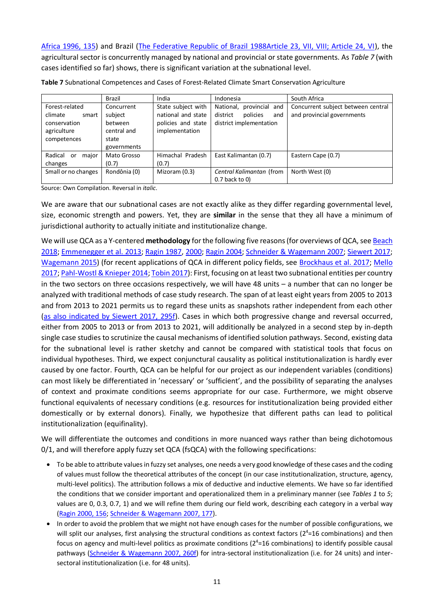[Africa 1996, 135\)](#page-13-32) and Brazil [\(The Federative Republic of Brazil 1988Article 23, VII, VIII; Article 24, VI\)](#page-14-25), the agricultural sector is concurrently managed by national and provincial or state governments. As *Table 7* (with cases identified so far) shows, there is significant variation at the subnational level.

|                                                                                  | Brazil                                                                  | India                                                                            | Indonesia                                                                             | South Africa                                                     |
|----------------------------------------------------------------------------------|-------------------------------------------------------------------------|----------------------------------------------------------------------------------|---------------------------------------------------------------------------------------|------------------------------------------------------------------|
| Forest-related<br>climate<br>smart<br>conservation<br>agriculture<br>competences | Concurrent<br>subject<br>between<br>central and<br>state<br>governments | State subject with<br>national and state<br>policies and state<br>implementation | provincial and<br>National,<br>district<br>policies<br>and<br>district implementation | Concurrent subject between central<br>and provincial governments |
| Radical<br>major<br>or<br>changes                                                | Mato Grosso<br>(0.7)                                                    | Himachal Pradesh<br>(0.7)                                                        | East Kalimantan (0.7)                                                                 | Eastern Cape (0.7)                                               |
| Small or no changes                                                              | Rondônia (0)                                                            | Mizoram (0.3)                                                                    | Central Kalimantan (from<br>$0.7$ back to $0$ )                                       | North West (0)                                                   |

**Table 7** Subnational Competences and Cases of Forest-Related Climate Smart Conservation Agriculture

Source: Own Compilation. Reversal in *italic*.

We are aware that our subnational cases are not exactly alike as they differ regarding governmental level, size, economic strength and powers. Yet, they are **similar** in the sense that they all have a minimum of jurisdictional authority to actually initiate and institutionalize change.

We will use QCA as a Y-centered **methodology** for the following five reasons (for overviews of QCA, se[e Beach](#page-11-14)  [2018;](#page-11-14) [Emmenegger et al. 2013;](#page-12-36) [Ragin 1987,](#page-13-33) [2000;](#page-13-34) [Ragin 2004;](#page-13-35) [Schneider & Wagemann 2007;](#page-14-26) [Siewert 2017;](#page-14-27) [Wagemann 2015\)](#page-14-28) (for recent applications of QCA in different policy fields, see [Brockhaus et al. 2017;](#page-11-15) Mello [2017;](#page-13-36) [Pahl-Wostl & Knieper 2014;](#page-13-37) [Tobin 2017\)](#page-14-7): First, focusing on at least two subnational entities per country in the two sectors on three occasions respectively, we will have 48 units – a number that can no longer be analyzed with traditional methods of case study research. The span of at least eight years from 2005 to 2013 and from 2013 to 2021 permits us to regard these units as snapshots rather independent from each other [\(as also indicated by Siewert 2017, 295f\)](#page-14-27). Cases in which both progressive change and reversal occurred, either from 2005 to 2013 or from 2013 to 2021, will additionally be analyzed in a second step by in-depth single case studies to scrutinize the causal mechanisms of identified solution pathways. Second, existing data for the subnational level is rather sketchy and cannot be compared with statistical tools that focus on individual hypotheses. Third, we expect conjunctural causality as political institutionalization is hardly ever caused by one factor. Fourth, QCA can be helpful for our project as our independent variables (conditions) can most likely be differentiated in 'necessary' or 'sufficient', and the possibility of separating the analyses of context and proximate conditions seems appropriate for our case. Furthermore, we might observe functional equivalents of necessary conditions (e.g. resources for institutionalization being provided either domestically or by external donors). Finally, we hypothesize that different paths can lead to political institutionalization (equifinality).

We will differentiate the outcomes and conditions in more nuanced ways rather than being dichotomous 0/1, and will therefore apply fuzzy set QCA (fsQCA) with the following specifications:

- To be able to attribute values in fuzzy set analyses, one needs a very good knowledge of these cases and the coding of values must follow the theoretical attributes of the concept (in our case institutionalization, structure, agency, multi-level politics). The attribution follows a mix of deductive and inductive elements. We have so far identified the conditions that we consider important and operationalized them in a preliminary manner (see *Tables 1* to *5*; values are 0, 0.3, 0.7, 1) and we will refine them during our field work, describing each category in a verbal way [\(Ragin 2000, 156;](#page-13-34) [Schneider & Wagemann 2007, 177\)](#page-14-26).
- In order to avoid the problem that we might not have enough cases for the number of possible configurations, we will split our analyses, first analysing the structural conditions as context factors  $(2^4=16$  combinations) and then focus on agency and multi-level politics as proximate conditions  $(2<sup>4</sup>=16$  combinations) to identify possible causal pathways [\(Schneider & Wagemann 2007, 260f\)](#page-14-26) for intra-sectoral institutionalization (i.e. for 24 units) and intersectoral institutionalization (i.e. for 48 units).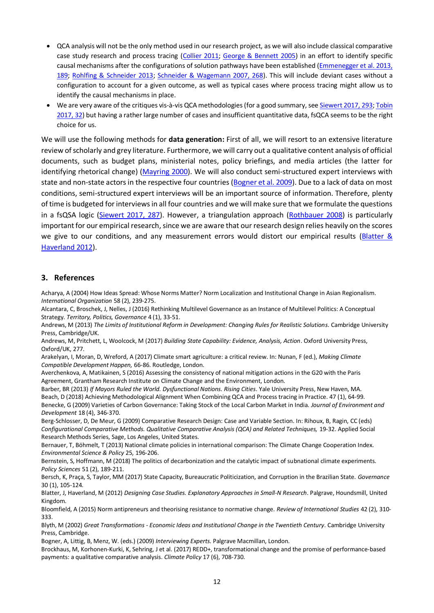- QCA analysis will not be the only method used in our research project, as we will also include classical comparative case study research and process tracing [\(Collier 2011;](#page-12-37) [George & Bennett 2005\)](#page-12-38) in an effort to identify specific causal mechanisms after the configurations of solution pathways have been established [\(Emmenegger et al. 2013,](#page-12-36)  [189;](#page-12-36) [Rohlfing & Schneider 2013;](#page-14-29) [Schneider & Wagemann 2007, 268\)](#page-14-26). This will include deviant cases without a configuration to account for a given outcome, as well as typical cases where process tracing might allow us to identify the causal mechanisms in place.
- We are very aware of the critiques vis-à-vis QCA methodologies (for a good summary, se[e Siewert 2017, 293;](#page-14-27) Tobin [2017, 32\)](#page-14-7) but having a rather large number of cases and insufficient quantitative data, fsQCA seems to be the right choice for us.

We will use the following methods for **data generation:** First of all, we will resort to an extensive literature review of scholarly and grey literature. Furthermore, we will carry out a qualitative content analysis of official documents, such as budget plans, ministerial notes, policy briefings, and media articles (the latter for identifying rhetorical change) [\(Mayring 2000\)](#page-13-38). We will also conduct semi-structured expert interviews with state and non-state actors in the respective four countries [\(Bogner et al. 2009\)](#page-11-16). Due to a lack of data on most conditions, semi-structured expert interviews will be an important source of information. Therefore, plenty of time is budgeted for interviews in all four countries and we will make sure that we formulate the questions in a fsQSA logic [\(Siewert 2017, 287\)](#page-14-27). However, a triangulation approach [\(Rothbauer 2008\)](#page-14-30) is particularly important for our empirical research, since we are aware that our research design relies heavily on the scores we give to our conditions, and any measurement errors would distort our empirical results (Blatter & [Haverland 2012\)](#page-11-17).

#### **3. References**

<span id="page-11-10"></span>Acharya, A (2004) How Ideas Spread: Whose Norms Matter? Norm Localization and Institutional Change in Asian Regionalism. *International Organization* 58 (2), 239-275.

<span id="page-11-12"></span>Alcantara, C, Broschek, J, Nelles, J (2016) Rethinking Multilevel Governance as an Instance of Multilevel Politics: A Conceptual Strategy. *Territory, Politics, Governance* 4 (1), 33-51.

<span id="page-11-0"></span>Andrews, M (2013) *The Limits of Institutional Reform in Development: Changing Rules for Realistic Solutions*. Cambridge University Press, Cambridge/UK.

<span id="page-11-1"></span>Andrews, M, Pritchett, L, Woolcock, M (2017) *Building State Capability: Evidence, Analysis, Action*. Oxford University Press, Oxford/UK, 277.

<span id="page-11-5"></span>Arakelyan, I, Moran, D, Wreford, A (2017) Climate smart agriculture: a critical review. In: Nunan, F (ed.), *Making Climate Compatible Development Happen,* 66-86. Routledge, London.

<span id="page-11-4"></span>Averchenkova, A, Matikainen, S (2016) Assessing the consistency of national mitigation actions in the G20 with the Paris Agreement, Grantham Research Institute on Climate Change and the Environment, London.

<span id="page-11-14"></span><span id="page-11-9"></span><span id="page-11-6"></span>Barber, BR (2013) *If Mayors Ruled the World. Dysfunctional Nations. Rising Cities*. Yale University Press, New Haven, MA. Beach, D (2018) Achieving Methodological Alignment When Combining QCA and Process tracing in Practice. 47 (1), 64-99. Benecke, G (2009) Varieties of Carbon Governance: Taking Stock of the Local Carbon Market in India. *Journal of Environment and Development* 18 (4), 346-370.

<span id="page-11-13"></span>Berg-Schlosser, D, De Meur, G (2009) Comparative Research Design: Case and Variable Section. In: Rihoux, B, Ragin, CC (eds) *Configurational Comparative Methods. Qualitative Comparative Analysis (QCA) and Related Techniques,* 19-32. Applied Social Research Methods Series, Sage, Los Angeles, United States.

<span id="page-11-3"></span>Bernauer, T, Böhmelt, T (2013) National climate policies in international comparison: The Climate Change Cooperation Index. *Environmental Science & Policy* 25, 196-206.

<span id="page-11-2"></span>Bernstein, S, Hoffmann, M (2018) The politics of decarbonization and the catalytic impact of subnational climate experiments. *Policy Sciences* 51 (2), 189-211.

<span id="page-11-7"></span>Bersch, K, Praça, S, Taylor, MM (2017) State Capacity, Bureaucratic Politicization, and Corruption in the Brazilian State. *Governance* 30 (1), 105-124.

<span id="page-11-17"></span>Blatter, J, Haverland, M (2012) *Designing Case Studies. Explanatory Approaches in Small-N Research*. Palgrave, Houndsmill, United Kingdom.

<span id="page-11-11"></span>Bloomfield, A (2015) Norm antipreneurs and theorising resistance to normative change. *Review of International Studies* 42 (2), 310- 333.

<span id="page-11-8"></span>Blyth, M (2002) *Great Transformations - Economic Ideas and Institutional Change in the Twentieth Century*. Cambridge University Press, Cambridge.

<span id="page-11-16"></span>Bogner, A, Littig, B, Menz, W. (eds.) (2009) *Interviewing Experts.* Palgrave Macmillan, London.

<span id="page-11-15"></span>Brockhaus, M, Korhonen-Kurki, K, Sehring, J et al. (2017) REDD+, transformational change and the promise of performance-based payments: a qualitative comparative analysis. *Climate Policy* 17 (6), 708-730.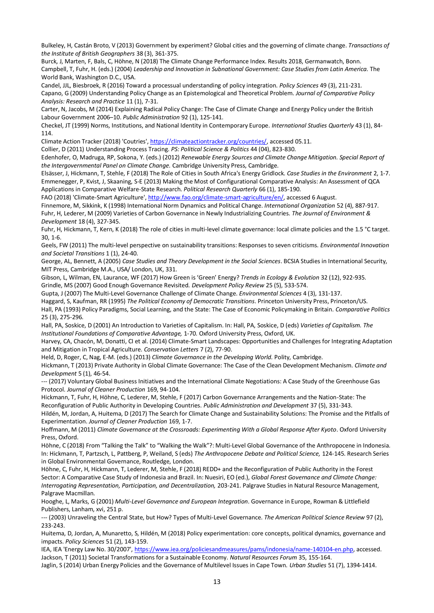<span id="page-12-0"></span>Bulkeley, H, Castán Broto, V (2013) Government by experiment? Global cities and the governing of climate change. *Transactions of the Institute of British Geographers* 38 (3), 361-375.

<span id="page-12-17"></span><span id="page-12-13"></span>Burck, J, Marten, F, Bals, C, Höhne, N (2018) The Climate Change Performance Index. Results 2018, Germanwatch, Bonn. Campbell, T, Fuhr, H. (eds.) (2004) *Leadership and Innovation in Subnational Government: Case Studies from Latin America.* The World Bank, Washington D.C., USA.

<span id="page-12-26"></span><span id="page-12-16"></span>Candel, JJL, Biesbroek, R (2016) Toward a processual understanding of policy integration. *Policy Sciences* 49 (3), 211-231. Capano, G (2009) Understanding Policy Change as an Epistemological and Theoretical Problem. *Journal of Comparative Policy Analysis: Research and Practice* 11 (1), 7-31.

<span id="page-12-20"></span>Carter, N, Jacobs, M (2014) Explaining Radical Policy Change: The Case of Climate Change and Energy Policy under the British Labour Government 2006–10. *Public Administration* 92 (1), 125-141.

<span id="page-12-29"></span>Checkel, JT (1999) Norms, Institutions, and National Identity in Contemporary Europe. *International Studies Quarterly* 43 (1), 84- 114.

<span id="page-12-18"></span>Climate Action Tracker (2018) 'Coutries'[, https://climateactiontracker.org/countries/,](https://climateactiontracker.org/countries/) accessed 05.11.

<span id="page-12-37"></span><span id="page-12-24"></span>Collier, D (2011) Understanding Process Tracing. *PS: Political Science & Politics* 44 (04), 823-830. Edenhofer, O, Madruga, RP, Sokona, Y. (eds.) (2012) *Renewable Energy Sources and Climate Change Mitigation. Special Report of the Intergovernmental Panel on Climate Change.* Cambridge University Press, Cambridge.

<span id="page-12-36"></span><span id="page-12-11"></span>Elsässer, J, Hickmann, T, Stehle, F (2018) The Role of Cities in South Africa's Energy Gridlock. *Case Studies in the Environment* 2, 1-7. Emmenegger, P, Kvist, J, Skaaning, S-E (2013) Making the Most of Configurational Comparative Analysis: An Assessment of QCA Applications in Comparative Welfare-State Research. *Political Research Quarterly* 66 (1), 185-190.

<span id="page-12-22"></span>FAO (2018) 'Climate-Smart Agriculture'[, http://www.fao.org/climate-smart-agriculture/en/,](http://www.fao.org/climate-smart-agriculture/en/) accessed 6 August.

<span id="page-12-28"></span><span id="page-12-4"></span>Finnemore, M, Sikkink, K (1998) International Norm Dynamics and Political Change. *International Organization* 52 (4), 887-917. Fuhr, H, Lederer, M (2009) Varieties of Carbon Governance in Newly Industrializing Countries. *The Journal of Environment & Development* 18 (4), 327-345.

<span id="page-12-5"></span>Fuhr, H, Hickmann, T, Kern, K (2018) The role of cities in multi-level climate governance: local climate policies and the 1.5 °C target. 30, 1-6.

<span id="page-12-19"></span>Geels, FW (2011) The multi-level perspective on sustainability transitions: Responses to seven criticisms. *Environmental Innovation and Societal Transitions* 1 (1), 24-40.

<span id="page-12-38"></span>George, AL, Bennett, A (2005) *Case Studies and Theory Development in the Social Sciences*. BCSIA Studies in International Security, MIT Press, Cambridge M.A., USA/ London, UK, 331.

<span id="page-12-25"></span>Gibson, L, Wilman, EN, Laurance, WF (2017) How Green is 'Green' Energy? *Trends in Ecology & Evolution* 32 (12), 922-935. Grindle, MS (2007) Good Enough Governance Revisited. *Development Policy Review* 25 (5), 533-574.

<span id="page-12-33"></span><span id="page-12-14"></span>Gupta, J (2007) The Multi-Level Governance Challenge of Climate Change. *Environmental Sciences* 4 (3), 131-137.

<span id="page-12-32"></span>Haggard, S, Kaufman, RR (1995) *The Political Economy of Democratic Transitions*. Princeton University Press, Princeton/US.

<span id="page-12-27"></span>Hall, PA (1993) Policy Paradigms, Social Learning, and the State: The Case of Economic Policymaking in Britain. *Comparative Politics* 25 (3), 275-296.

<span id="page-12-15"></span>Hall, PA, Soskice, D (2001) An Introduction to Varieties of Capitalism. In: Hall, PA, Soskice, D (eds) *Varieties of Capitalism. The Institutional Foundations of Comparative Advantage,* 1-70. Oxford University Press, Oxford, UK.

<span id="page-12-23"></span>Harvey, CA, Chacón, M, Donatti, CI et al. (2014) Climate-Smart Landscapes: Opportunities and Challenges for Integrating Adaptation and Mitigation in Tropical Agriculture. *Conservation Letters* 7 (2), 77-90.

<span id="page-12-21"></span>Held, D, Roger, C, Nag, E-M. (eds.) (2013) *Climate Governance in the Developing World.* Polity, Cambridge.

<span id="page-12-6"></span>Hickmann, T (2013) Private Authority in Global Climate Governance: The Case of the Clean Development Mechanism. *Climate and Development* 5 (1), 46-54.

<span id="page-12-7"></span>--- (2017) Voluntary Global Business Initiatives and the International Climate Negotiations: A Case Study of the Greenhouse Gas Protocol. *Journal of Cleaner Production* 169, 94-104.

<span id="page-12-9"></span>Hickmann, T, Fuhr, H, Höhne, C, Lederer, M, Stehle, F (2017) Carbon Governance Arrangements and the Nation-State: The Reconfiguration of Public Authority in Developing Countries. *Public Administration and Development* 37 (5), 331-343.

<span id="page-12-1"></span>Hildén, M, Jordan, A, Huitema, D (2017) The Search for Climate Change and Sustainability Solutions: The Promise and the Pitfalls of Experimentation. *Journal of Cleaner Production* 169, 1-7.

<span id="page-12-2"></span>Hoffmann, M (2011) *Climate Governance at the Crossroads: Experimenting With a Global Response After Kyoto*. Oxford University Press, Oxford.

<span id="page-12-12"></span>Höhne, C (2018) From "Talking the Talk" to "Walking the Walk"?: Multi-Level Global Governance of the Anthropocene in Indonesia. In: Hickmann, T, Partzsch, L, Pattberg, P, Weiland, S (eds) *The Anthropocene Debate and Political Science,* 124-145. Research Series in Global Environmental Governance, Routledge, London.

<span id="page-12-10"></span>Höhne, C, Fuhr, H, Hickmann, T, Lederer, M, Stehle, F (2018) REDD+ and the Reconfiguration of Public Authority in the Forest Sector: A Comparative Case Study of Indonesia and Brazil. In: Nuesiri, EO (ed.), *Global Forest Governance and Climate Change: Interrogating Representation, Participation, and Decentralization,* 203-241. Palgrave Studies in Natural Resource Management, Palgrave Macmillan.

<span id="page-12-30"></span>Hooghe, L, Marks, G (2001) *Multi-Level Governance and European Integration*. Governance in Europe, Rowman & Littlefield Publishers, Lanham, xvi, 251 p.

<span id="page-12-31"></span>--- (2003) Unraveling the Central State, but How? Types of Multi-Level Governance. *The American Political Science Review* 97 (2), 233-243.

<span id="page-12-3"></span>Huitema, D, Jordan, A, Munaretto, S, Hildén, M (2018) Policy experimentation: core concepts, political dynamics, governance and impacts. *Policy Sciences* 51 (2), 143-159.

<span id="page-12-34"></span><span id="page-12-8"></span>IEA, IEA 'Energy Law No. 30/2007'[, https://www.iea.org/policiesandmeasures/pams/indonesia/name-140104-en.php,](https://www.iea.org/policiesandmeasures/pams/indonesia/name-140104-en.php) accessed. Jackson, T (2011) Societal Transformations for a Sustainable Economy. *Natural Resources Forum* 35, 155-164.

<span id="page-12-35"></span>Jaglin, S (2014) Urban Energy Policies and the Governance of Multilevel Issues in Cape Town. *Urban Studies* 51 (7), 1394-1414.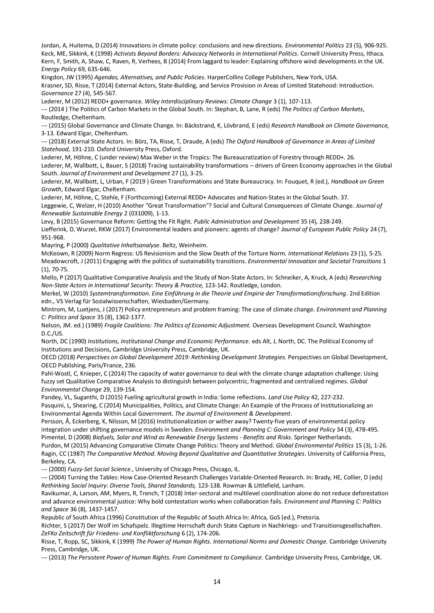<span id="page-13-25"></span><span id="page-13-18"></span><span id="page-13-9"></span>Jordan, A, Huitema, D (2014) Innovations in climate policy: conclusions and new directions. *Environmental Politics* 23 (5), 906-925. Keck, ME, Sikkink, K (1998) *Activists Beyond Borders: Advocacy Networks in International Politics*. Cornell University Press, Ithaca. Kern, F, Smith, A, Shaw, C, Raven, R, Verhees, B (2014) From laggard to leader: Explaining offshore wind developments in the UK. *Energy Policy* 69, 635-646.

<span id="page-13-28"></span><span id="page-13-26"></span>Kingdon, JW (1995) *Agendas, Alternatives, and Public Policies*. HarperCollins College Publishers, New York, USA. Krasner, SD, Risse, T (2014) External Actors, State-Building, and Service Provision in Areas of Limited Statehood: Introduction. *Governance* 27 (4), 545-567.

<span id="page-13-16"></span>Lederer, M (2012) REDD+ governance. *Wiley Interdisciplinary Reviews: Climate Change* 3 (1), 107-113.

<span id="page-13-2"></span>--- (2014 ) The Politics of Carbon Markets in the Global South. In: Stephan, B, Lane, R (eds) *The Politics of Carbon Markets*, Routledge, Cheltenham.

<span id="page-13-3"></span>--- (2015) Global Governance and Climate Change. In: Bäckstrand, K, Lövbrand, E (eds) *Research Handbook on Climate Governance,* 3-13. Edward Elgar, Cheltenham.

<span id="page-13-27"></span>--- (2018) External State Actors. In: Börz, TA, Risse, T, Draude, A (eds) *The Oxford Handbook of Governance in Areas of Limited Statehood,* 191-210. Oxford University Press, Oxford.

<span id="page-13-6"></span><span id="page-13-4"></span>Lederer, M, Höhne, C (under review) Max Weber in the Tropics: The Bureaucratization of Forestry through REDD+. 26. Lederer, M, Wallbott, L, Bauer, S (2018) Tracing sustainability transformations – drivers of Green Economy approaches in the Global South. *Journal of Environment and Development* 27 (1), 3-25.

<span id="page-13-0"></span>Lederer, M, Wallbott, L, Urban, F (2019 ) Green Transformations and State Bureaucracy. In: Fouquet, R (ed.), *Handbook on Green Growth*, Edward Elgar, Cheltenham.

<span id="page-13-5"></span><span id="page-13-1"></span>Lederer, M, Höhne, C, Stehle, F (Forthcoming) External REDD+ Advocates and Nation-States in the Global South. 37. Leggewie, C, Welzer, H (2010) Another "Great Transformation"? Social and Cultural Consequences of Climate Change. *Journal of Renewable Sustainable Energy* 2 (031009), 1-13.

<span id="page-13-19"></span><span id="page-13-7"></span>Levy, B (2015) Governance Reform: Getting the Fit Right. *Public Administration and Development* 35 (4), 238-249. Liefferink, D, Wurzel, RKW (2017) Environmental leaders and pioneers: agents of change? *Journal of European Public Policy* 24 (7), 951-968.

<span id="page-13-38"></span>Mayring, P (2000) *Qualitative Inhaltsanalyse*. Beltz, Weinheim.

<span id="page-13-30"></span><span id="page-13-14"></span>McKeown, R (2009) Norm Regress: US Revisionism and the Slow Death of the Torture Norm. *International Relations* 23 (1), 5-25. Meadowcroft, J (2011) Engaging with the politics of sustainability transitions. *Environmental Innovation and Societal Transitions* 1 (1), 70-75.

<span id="page-13-36"></span>Mello, P (2017) Qualitative Comparative Analysis and the Study of Non-State Actors. In: Schneiker, A, Kruck, A (eds) *Researching Non-State Actors in International Security: Theory & Practice,* 123-142. Routledge, London.

<span id="page-13-22"></span>Merkel, W (2010) *Systemtransformation. Eine Einführung in die Theorie und Empirie der Transformationsforschung*. 2nd Edition edn., VS Verlag für Sozialwissenschaften, Wiesbaden/Germany.

<span id="page-13-20"></span>Mintrom, M, Luetjens, J (2017) Policy entrepreneurs and problem framing: The case of climate change. *Environment and Planning C: Politics and Space* 35 (8), 1362-1377.

<span id="page-13-23"></span>Nelson, JM. ed.) (1989) *Fragile Coalitions: The Politics of Economic Adjustment.* Overseas Development Council, Washington D.C./US.

<span id="page-13-10"></span>North, DC (1990) *Institutions, Institutional Change and Economic Performance*. eds Alt, J, North, DC. The Political Economy of Institutions and Decisions, Cambridge University Press, Cambridge, UK.

<span id="page-13-8"></span>OECD (2018) *Perspectives on Global Development 2019: Rethinking Development Strategies*. Perspectives on Global Development, OECD Publishing, Paris/France, 236.

<span id="page-13-37"></span>Pahl-Wostl, C, Knieper, C (2014) The capacity of water governance to deal with the climate change adaptation challenge: Using fuzzy set Qualitative Comparative Analysis to distinguish between polycentric, fragmented and centralized regimes. *Global Environmental Change* 29, 139-154.

<span id="page-13-31"></span>Pandey, VL, Suganthi, D (2015) Fueling agricultural growth in India: Some reflections. *Land Use Policy* 42, 227-232.

<span id="page-13-11"></span>Pasquini, L, Shearing, C (2014) Municipalities, Politics, and Climate Change: An Example of the Process of Institutionalizing an Environmental Agenda Within Local Government. *The Journal of Environment & Development*.

<span id="page-13-12"></span>Persson, Å, Eckerberg, K, Nilsson, M (2016) Institutionalization or wither away? Twenty-five years of environmental policy integration under shifting governance models in Sweden. *Environment and Planning C: Government and Policy* 34 (3), 478-495. Pimentel, D (2008) *Biofuels, Solar and Wind as Renewable Energy Systems - Benefits and Risks*. Springer Netherlands.

<span id="page-13-33"></span><span id="page-13-17"></span><span id="page-13-15"></span>Purdon, M (2015) Advancing Comparative Climate Change Politics: Theory and Method. *Global Environmental Politics* 15 (3), 1-26. Ragin, CC (1987) *The Comparative Method. Moving Beyond Qualitative and Quantitative Strategies*. University of California Press, Berkeley, CA.

<span id="page-13-34"></span>--- (2000) *Fuzzy-Set Social Science.*, University of Chicago Press, Chicago, IL.

<span id="page-13-35"></span>--- (2004) Turning the Tables: How Case-Oriented Research Challenges Variable-Oriented Research. In: Brady, HE, Collier, D (eds) *Rethinking Social Inquiry: Diverse Tools, Shared Standards,* 123-138. Rowman & Littlefield, Lanham.

<span id="page-13-13"></span>Ravikumar, A, Larson, AM, Myers, R, Trench, T (2018) Inter-sectoral and multilevel coordination alone do not reduce deforestation and advance environmental justice: Why bold contestation works when collaboration fails. *Environment and Planning C: Politics and Space* 36 (8), 1437-1457.

<span id="page-13-32"></span>Republic of South Africa (1996) Constitution of the Republic of South Africa In: Africa, GoS (ed.), Pretoria.

<span id="page-13-29"></span>Richter, S (2017) Der Wolf im Schafspelz. Illegitime Herrschaft durch State Capture in Nachkriegs- und Transitionsgesellschaften. *ZeFKo Zeitschrift für Friedens- und Konfliktforschung* 6 (2), 174-206.

<span id="page-13-24"></span>Risse, T, Ropp, SC, Sikkink, K (1999) *The Power of Human Rights. International Norms and Domestic Change*. Cambridge University Press, Cambridge, UK.

<span id="page-13-21"></span>--- (2013) *The Persistent Power of Human Rights. From Commitment to Compliance*. Cambridge University Press, Cambridge, UK.